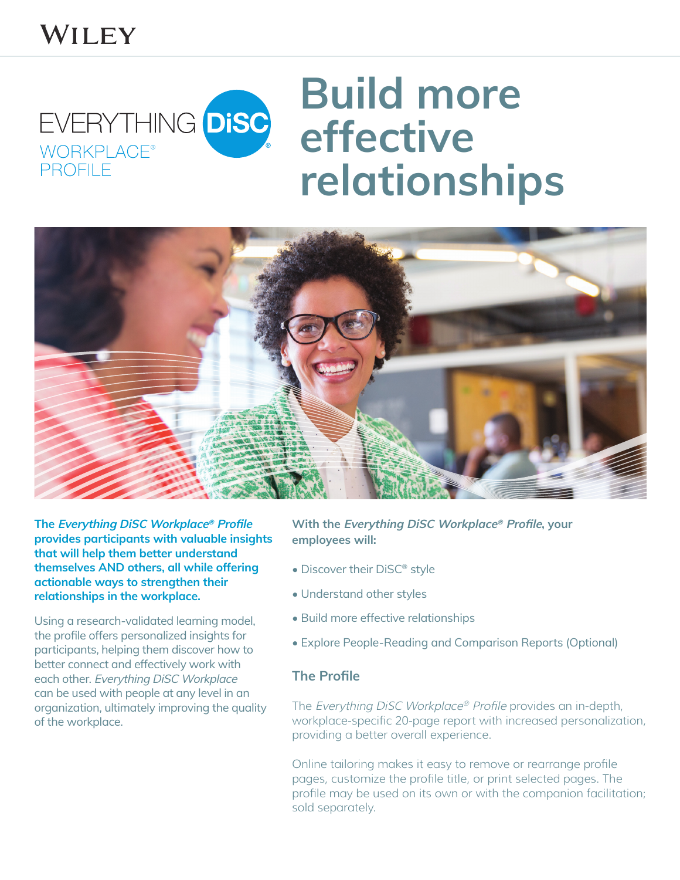## WILEY

## **Build more**  EVERYTHING DISC **effective**  WORKPLACE **PROFILE relationships**



**The Everything DiSC Workplace® Profile provides participants with valuable insights that will help them better understand themselves AND others, all while offering actionable ways to strengthen their relationships in the workplace.**

Using a research-validated learning model, the profile offers personalized insights for participants, helping them discover how to better connect and effectively work with each other. Everything DiSC Workplace can be used with people at any level in an organization, ultimately improving the quality of the workplace.

**With the Everything DiSC Workplace® Profile, your employees will:** 

- Discover their DiSC® style
- Understand other styles
- Build more effective relationships
- Explore People-Reading and Comparison Reports (Optional)

## **The Profile**

The Everything DiSC Workplace® Profile provides an in-depth, workplace-specific 20-page report with increased personalization, providing a better overall experience.

Online tailoring makes it easy to remove or rearrange profile pages, customize the profile title, or print selected pages. The profile may be used on its own or with the companion facilitation; sold separately.